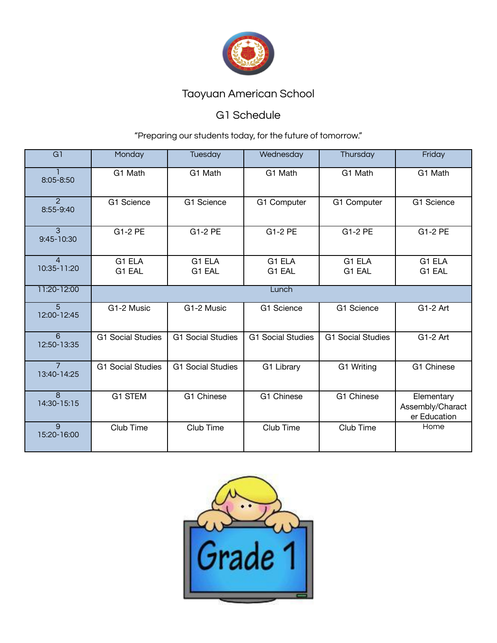

### G1 Schedule

| G1                            | Monday                   | Tuesday                  | Wednesday                | Thursday                 | Friday                                         |  |  |
|-------------------------------|--------------------------|--------------------------|--------------------------|--------------------------|------------------------------------------------|--|--|
| 8:05-8:50                     | G1 Math                  | G1 Math                  | G1 Math                  | G1 Math                  | G1 Math                                        |  |  |
| $\overline{2}$<br>8:55-9:40   | G1 Science               | G1 Science               | G1 Computer              | G1 Computer              | G1 Science                                     |  |  |
| $\mathbf{3}$<br>9:45-10:30    | G1-2 PE                  | G1-2 PE                  | G1-2 PE                  | G1-2 PE                  | G1-2 PE                                        |  |  |
| $\Delta$<br>10:35-11:20       | G1 ELA<br>G1 EAL         | G1 ELA<br>G1 EAL         | G1 ELA<br>G1 EAL         | G1 ELA<br>G1 EAL         | G1 ELA<br>G1 EAL                               |  |  |
| 11:20-12:00                   | Lunch                    |                          |                          |                          |                                                |  |  |
| $\overline{5}$<br>12:00-12:45 | G1-2 Music               | G1-2 Music               | G1 Science               | G1 Science               | G1-2 Art                                       |  |  |
| 6<br>12:50-13:35              | <b>G1 Social Studies</b> | <b>G1 Social Studies</b> | <b>G1 Social Studies</b> | <b>G1 Social Studies</b> | G1-2 Art                                       |  |  |
| $\overline{7}$<br>13:40-14:25 | <b>G1 Social Studies</b> | <b>G1 Social Studies</b> | G1 Library               | G1 Writing               | G1 Chinese                                     |  |  |
| $\overline{8}$<br>14:30-15:15 | <b>G1 STEM</b>           | G1 Chinese               | G1 Chinese               | G1 Chinese               | Elementary<br>Assembly/Charact<br>er Education |  |  |
| 9<br>15:20-16:00              | Club Time                | Club Time                | Club Time                | Club Time                | Home                                           |  |  |

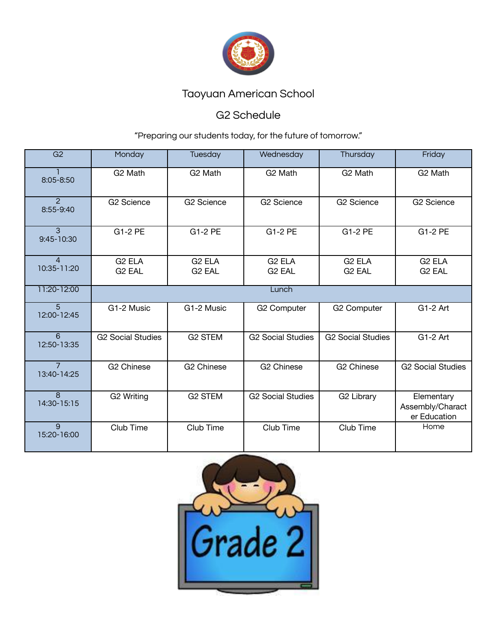

### G2 Schedule

| G2                            | Monday                                   | Tuesday                                  | Wednesday                                | Thursday                                 | Friday                                         |  |  |
|-------------------------------|------------------------------------------|------------------------------------------|------------------------------------------|------------------------------------------|------------------------------------------------|--|--|
| 8:05-8:50                     | G <sub>2</sub> Math                      | G <sub>2</sub> Math                      | G <sub>2</sub> Math                      | G <sub>2</sub> Math                      | G <sub>2</sub> Math                            |  |  |
| $\overline{2}$<br>8:55-9:40   | <b>G2 Science</b>                        | <b>G2 Science</b>                        | G2 Science                               | <b>G2 Science</b>                        | <b>G2 Science</b>                              |  |  |
| 3<br>9:45-10:30               | G1-2 PE                                  | G1-2 PE                                  | G1-2 PE                                  | G1-2 PE                                  | G1-2 PE                                        |  |  |
| $\overline{4}$<br>10:35-11:20 | G <sub>2</sub> ELA<br>G <sub>2</sub> EAL | G <sub>2</sub> ELA<br>G <sub>2</sub> EAL | G <sub>2</sub> ELA<br>G <sub>2</sub> EAL | G <sub>2</sub> ELA<br>G <sub>2</sub> EAL | G <sub>2</sub> ELA<br>G <sub>2</sub> EAL       |  |  |
| 11:20-12:00                   | Lunch                                    |                                          |                                          |                                          |                                                |  |  |
| $\overline{5}$<br>12:00-12:45 | G1-2 Music                               | G1-2 Music                               | G2 Computer                              | G2 Computer                              | G1-2 Art                                       |  |  |
| 6<br>12:50-13:35              | <b>G2 Social Studies</b>                 | <b>G2 STEM</b>                           | <b>G2 Social Studies</b>                 | <b>G2 Social Studies</b>                 | G1-2 Art                                       |  |  |
| $\overline{7}$<br>13:40-14:25 | G <sub>2</sub> Chinese                   | G <sub>2</sub> Chinese                   | G <sub>2</sub> Chinese                   | G <sub>2</sub> Chinese                   | <b>G2 Social Studies</b>                       |  |  |
| $\overline{8}$<br>14:30-15:15 | G2 Writing                               | <b>G2 STEM</b>                           | <b>G2 Social Studies</b>                 | G2 Library                               | Elementary<br>Assembly/Charact<br>er Education |  |  |
| $\overline{9}$<br>15:20-16:00 | Club Time                                | Club Time                                | Club Time                                | Club Time                                | Home                                           |  |  |

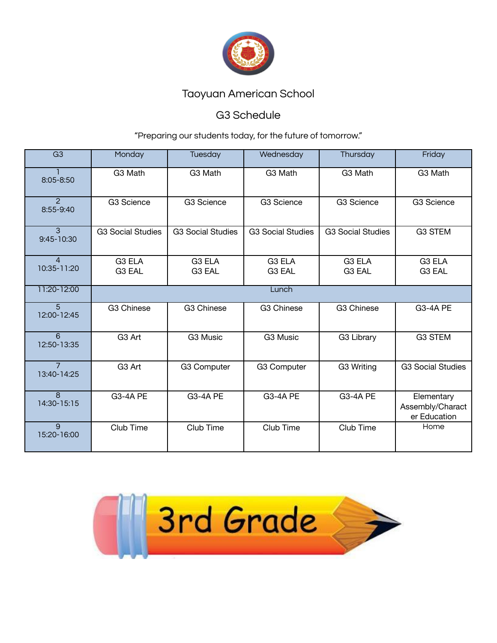

#### G3 Schedule

| $\overline{G3}$               | Monday                       | <b>Tuesday</b>               | Wednesday                    | Thursday                     | Friday                                         |  |  |
|-------------------------------|------------------------------|------------------------------|------------------------------|------------------------------|------------------------------------------------|--|--|
| 8:05-8:50                     | G3 Math                      | G3 Math                      | G3 Math                      | G3 Math                      | G3 Math                                        |  |  |
| $\mathcal{P}$<br>8:55-9:40    | G3 Science                   | G3 Science                   | G3 Science                   | G3 Science                   | <b>G3 Science</b>                              |  |  |
| 3<br>9:45-10:30               | <b>G3 Social Studies</b>     | <b>G3 Social Studies</b>     | <b>G3 Social Studies</b>     | <b>G3 Social Studies</b>     | <b>G3 STEM</b>                                 |  |  |
| $\overline{4}$<br>10:35-11:20 | G <sub>3</sub> ELA<br>G3 EAL | G <sub>3</sub> ELA<br>G3 EAL | G <sub>3</sub> ELA<br>G3 EAL | G <sub>3</sub> ELA<br>G3 EAL | G <sub>3</sub> ELA<br>G3 EAL                   |  |  |
| 11:20-12:00                   | Lunch                        |                              |                              |                              |                                                |  |  |
| $\overline{5}$<br>12:00-12:45 | <b>G3 Chinese</b>            | <b>G3 Chinese</b>            | G3 Chinese                   | G3 Chinese                   | <b>G3-4A PE</b>                                |  |  |
| 6<br>12:50-13:35              | G3 Art                       | G3 Music                     | G3 Music                     | G3 Library                   | <b>G3 STEM</b>                                 |  |  |
| $\overline{7}$<br>13:40-14:25 | G3 Art                       | G3 Computer                  | G3 Computer                  | G3 Writing                   | <b>G3 Social Studies</b>                       |  |  |
| $\overline{8}$<br>14:30-15:15 | <b>G3-4A PE</b>              | <b>G3-4A PE</b>              | <b>G3-4A PE</b>              | <b>G3-4A PE</b>              | Elementary<br>Assembly/Charact<br>er Education |  |  |
| 9<br>15:20-16:00              | Club Time                    | Club Time                    | Club Time                    | Club Time                    | Home                                           |  |  |

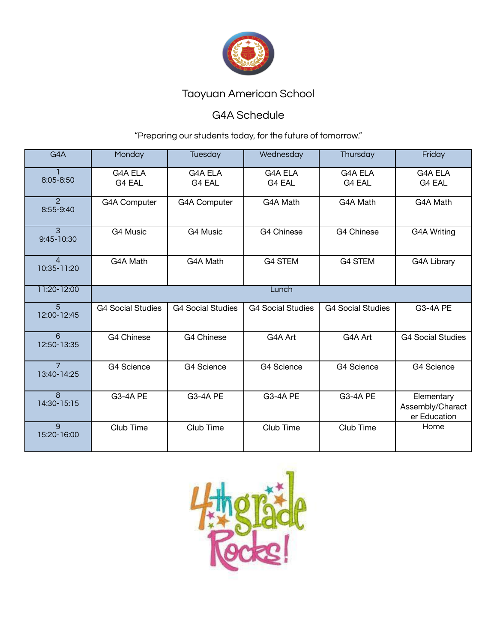

### G4A Schedule

| G4A                           | Monday                   | <b>Tuesday</b>           | Wednesday                | Thursday                 | Friday                                         |  |  |
|-------------------------------|--------------------------|--------------------------|--------------------------|--------------------------|------------------------------------------------|--|--|
| 8:05-8:50                     | G4A ELA<br>G4 EAL        | <b>G4A ELA</b><br>G4 EAL | G4A ELA<br>G4 EAL        | G4A ELA<br>G4 EAL        | <b>G4A ELA</b><br>G4 EAL                       |  |  |
| $\mathcal{P}$<br>8:55-9:40    | G4A Computer             | <b>G4A Computer</b>      | G4A Math                 | G4A Math                 | G4A Math                                       |  |  |
| $\overline{3}$<br>9:45-10:30  | G4 Music                 | G4 Music                 | G4 Chinese               | G4 Chinese               | G4A Writing                                    |  |  |
| $\overline{4}$<br>10:35-11:20 | G4A Math                 | G4A Math                 | <b>G4 STEM</b>           | <b>G4 STEM</b>           | G4A Library                                    |  |  |
| 11:20-12:00                   | Lunch                    |                          |                          |                          |                                                |  |  |
| $5^{\circ}$<br>12:00-12:45    | <b>G4 Social Studies</b> | <b>G4 Social Studies</b> | <b>G4 Social Studies</b> | <b>G4 Social Studies</b> | <b>G3-4A PE</b>                                |  |  |
| 6<br>12:50-13:35              | G4 Chinese               | G4 Chinese               | G4A Art                  | G4A Art                  | <b>G4 Social Studies</b>                       |  |  |
| $\overline{7}$<br>13:40-14:25 | <b>G4 Science</b>        | G4 Science               | G4 Science               | G4 Science               | G4 Science                                     |  |  |
| $\overline{8}$<br>14:30-15:15 | <b>G3-4A PE</b>          | <b>G3-4A PE</b>          | <b>G3-4A PE</b>          | <b>G3-4A PE</b>          | Elementary<br>Assembly/Charact<br>er Education |  |  |
| 9<br>15:20-16:00              | Club Time                | Club Time                | Club Time                | Club Time                | Home                                           |  |  |

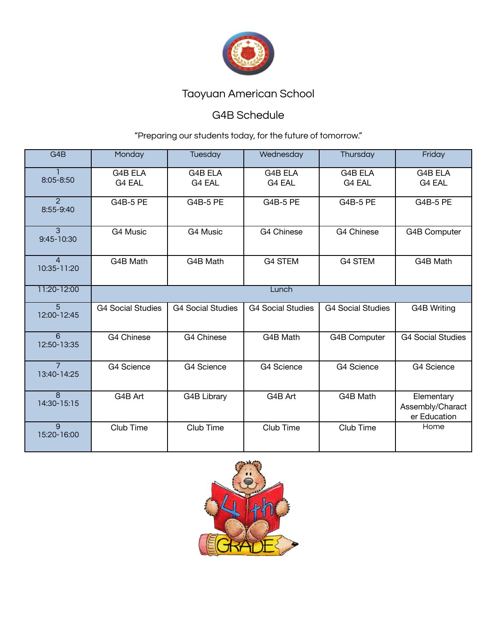

### G4B Schedule

| G4B                           | Monday                   | <b>Tuesday</b>           | Wednesday                | Thursday                 | Friday                                         |  |
|-------------------------------|--------------------------|--------------------------|--------------------------|--------------------------|------------------------------------------------|--|
| 8:05-8:50                     | G4B ELA<br>G4 EAL        | G4B ELA<br>G4 EAL        | G4B ELA<br>G4 EAL        | G4B ELA<br>G4 EAL        | <b>G4B ELA</b><br>G4 EAL                       |  |
| $\mathcal{P}$<br>8:55-9:40    | <b>G4B-5 PE</b>          | G4B-5 PE                 | <b>G4B-5 PE</b>          | <b>G4B-5 PE</b>          | <b>G4B-5 PE</b>                                |  |
| 3<br>9:45-10:30               | G4 Music                 | G4 Music                 | G4 Chinese               | G4 Chinese               | G4B Computer                                   |  |
| $\Delta$<br>10:35-11:20       | G4B Math                 | G4B Math                 | <b>G4 STEM</b>           | <b>G4 STEM</b>           | G4B Math                                       |  |
| 11:20-12:00                   | Lunch                    |                          |                          |                          |                                                |  |
| $\overline{5}$<br>12:00-12:45 | <b>G4 Social Studies</b> | <b>G4 Social Studies</b> | <b>G4 Social Studies</b> | <b>G4 Social Studies</b> | <b>G4B Writing</b>                             |  |
| 6<br>12:50-13:35              | G4 Chinese               | G4 Chinese               | G4B Math                 | G4B Computer             | <b>G4 Social Studies</b>                       |  |
| $\overline{7}$<br>13:40-14:25 | G4 Science               | G4 Science               | G4 Science               | G4 Science               | G4 Science                                     |  |
| $\overline{8}$<br>14:30-15:15 | G4B Art                  | G4B Library              | G4B Art                  | G4B Math                 | Elementary<br>Assembly/Charact<br>er Education |  |
| $\mathbf{q}$<br>15:20-16:00   | Club Time                | Club Time                | Club Time                | Club Time                | Home                                           |  |